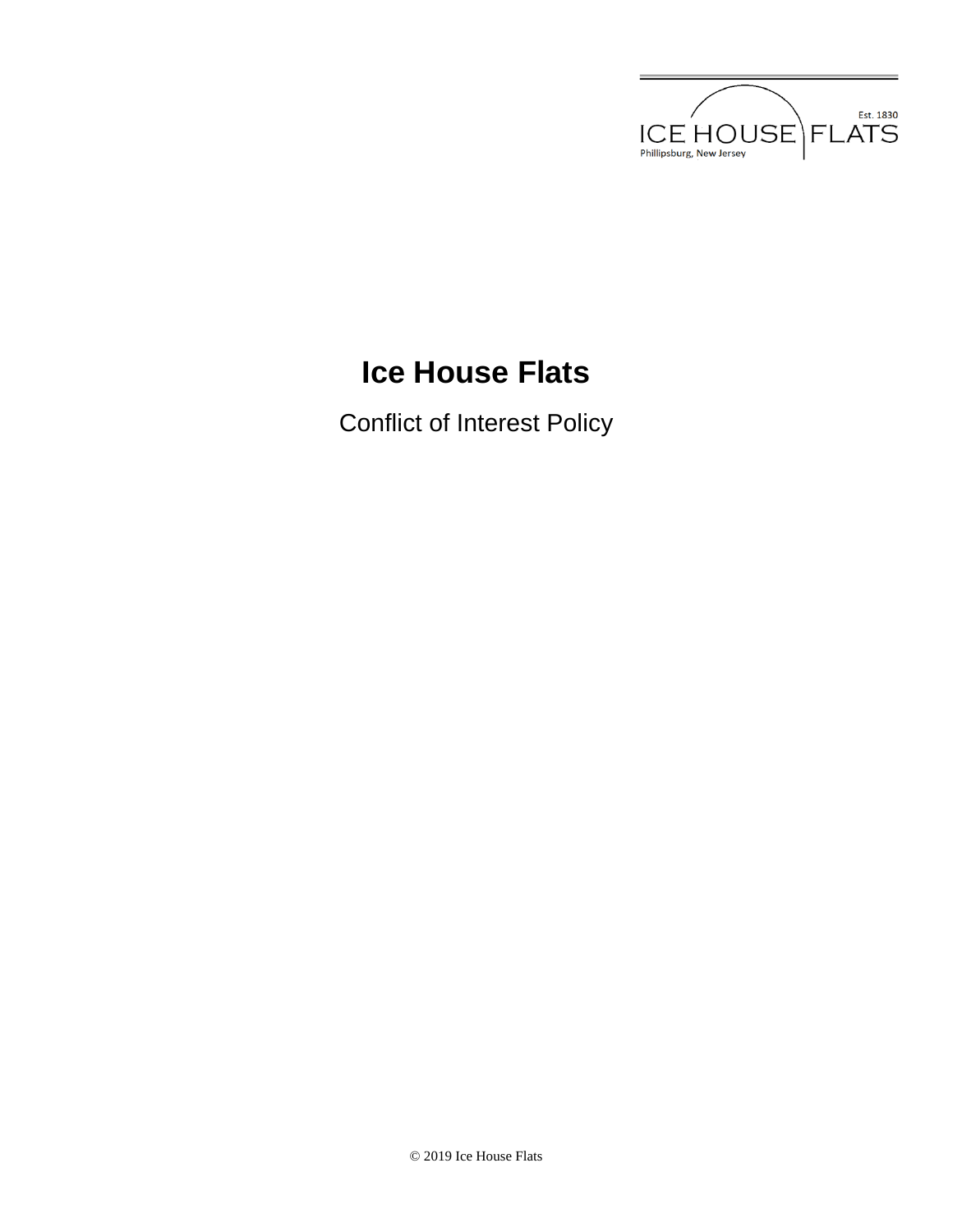

# **Ice House Flats**

Conflict of Interest Policy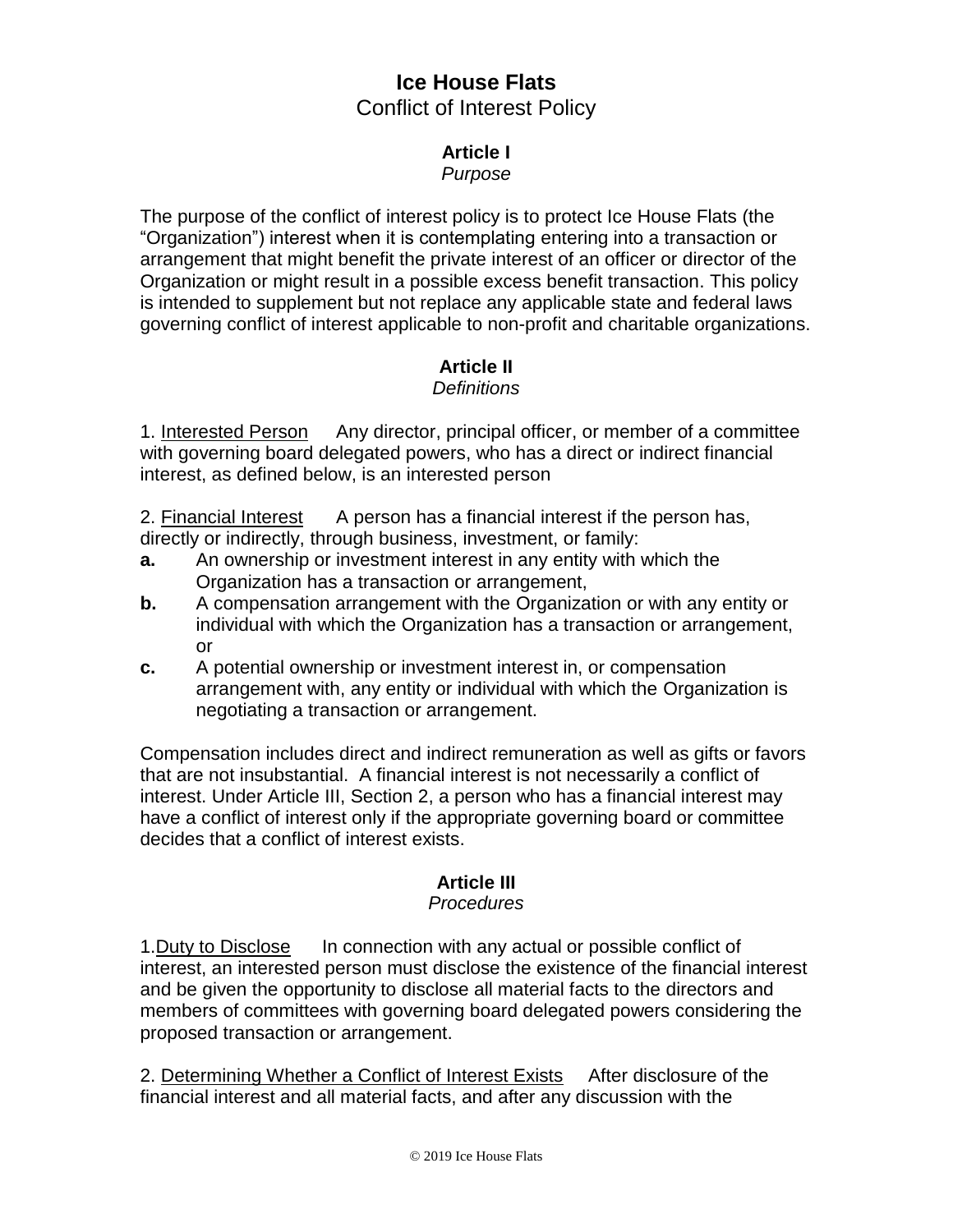## **Ice House Flats** Conflict of Interest Policy

#### **Article I**

#### *Purpose*

The purpose of the conflict of interest policy is to protect Ice House Flats (the "Organization") interest when it is contemplating entering into a transaction or arrangement that might benefit the private interest of an officer or director of the Organization or might result in a possible excess benefit transaction. This policy is intended to supplement but not replace any applicable state and federal laws governing conflict of interest applicable to non-profit and charitable organizations.

## **Article II**

### *Definitions*

1. Interested Person Any director, principal officer, or member of a committee with governing board delegated powers, who has a direct or indirect financial interest, as defined below, is an interested person

2. Financial Interest A person has a financial interest if the person has, directly or indirectly, through business, investment, or family:

- **a.** An ownership or investment interest in any entity with which the Organization has a transaction or arrangement,
- **b.** A compensation arrangement with the Organization or with any entity or individual with which the Organization has a transaction or arrangement, or
- **c.** A potential ownership or investment interest in, or compensation arrangement with, any entity or individual with which the Organization is negotiating a transaction or arrangement.

Compensation includes direct and indirect remuneration as well as gifts or favors that are not insubstantial. A financial interest is not necessarily a conflict of interest. Under Article III, Section 2, a person who has a financial interest may have a conflict of interest only if the appropriate governing board or committee decides that a conflict of interest exists.

## **Article III**

#### *Procedures*

1.Duty to Disclose In connection with any actual or possible conflict of interest, an interested person must disclose the existence of the financial interest and be given the opportunity to disclose all material facts to the directors and members of committees with governing board delegated powers considering the proposed transaction or arrangement.

2. Determining Whether a Conflict of Interest Exists After disclosure of the financial interest and all material facts, and after any discussion with the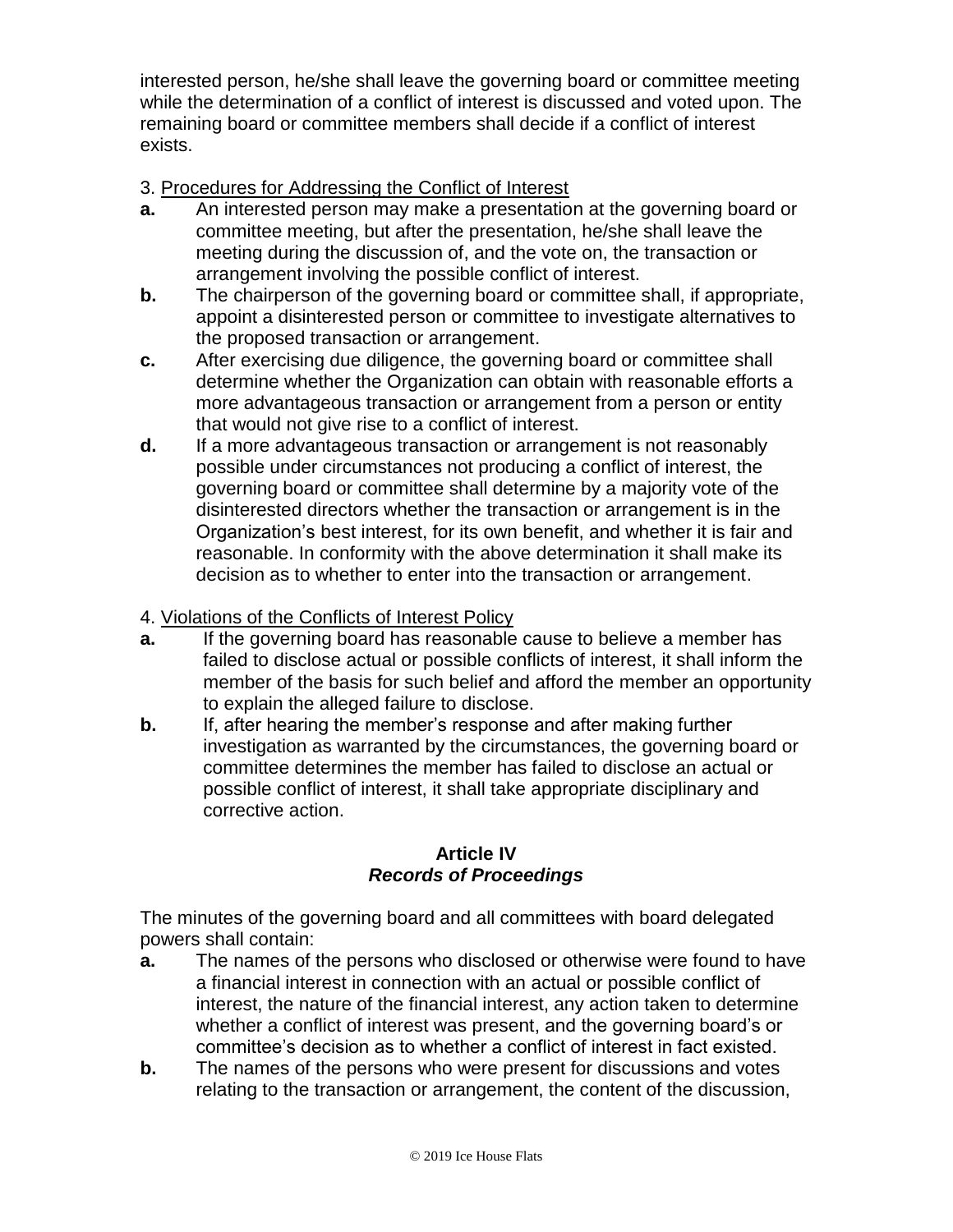interested person, he/she shall leave the governing board or committee meeting while the determination of a conflict of interest is discussed and voted upon. The remaining board or committee members shall decide if a conflict of interest exists.

- 3. Procedures for Addressing the Conflict of Interest
- **a.** An interested person may make a presentation at the governing board or committee meeting, but after the presentation, he/she shall leave the meeting during the discussion of, and the vote on, the transaction or arrangement involving the possible conflict of interest.
- **b.** The chairperson of the governing board or committee shall, if appropriate, appoint a disinterested person or committee to investigate alternatives to the proposed transaction or arrangement.
- **c.** After exercising due diligence, the governing board or committee shall determine whether the Organization can obtain with reasonable efforts a more advantageous transaction or arrangement from a person or entity that would not give rise to a conflict of interest.
- **d.** If a more advantageous transaction or arrangement is not reasonably possible under circumstances not producing a conflict of interest, the governing board or committee shall determine by a majority vote of the disinterested directors whether the transaction or arrangement is in the Organization's best interest, for its own benefit, and whether it is fair and reasonable. In conformity with the above determination it shall make its decision as to whether to enter into the transaction or arrangement.
- 4. Violations of the Conflicts of Interest Policy
- **a.** If the governing board has reasonable cause to believe a member has failed to disclose actual or possible conflicts of interest, it shall inform the member of the basis for such belief and afford the member an opportunity to explain the alleged failure to disclose.
- **b.** If, after hearing the member's response and after making further investigation as warranted by the circumstances, the governing board or committee determines the member has failed to disclose an actual or possible conflict of interest, it shall take appropriate disciplinary and corrective action.

### **Article IV** *Records of Proceedings*

The minutes of the governing board and all committees with board delegated powers shall contain:

- **a.** The names of the persons who disclosed or otherwise were found to have a financial interest in connection with an actual or possible conflict of interest, the nature of the financial interest, any action taken to determine whether a conflict of interest was present, and the governing board's or committee's decision as to whether a conflict of interest in fact existed.
- **b.** The names of the persons who were present for discussions and votes relating to the transaction or arrangement, the content of the discussion,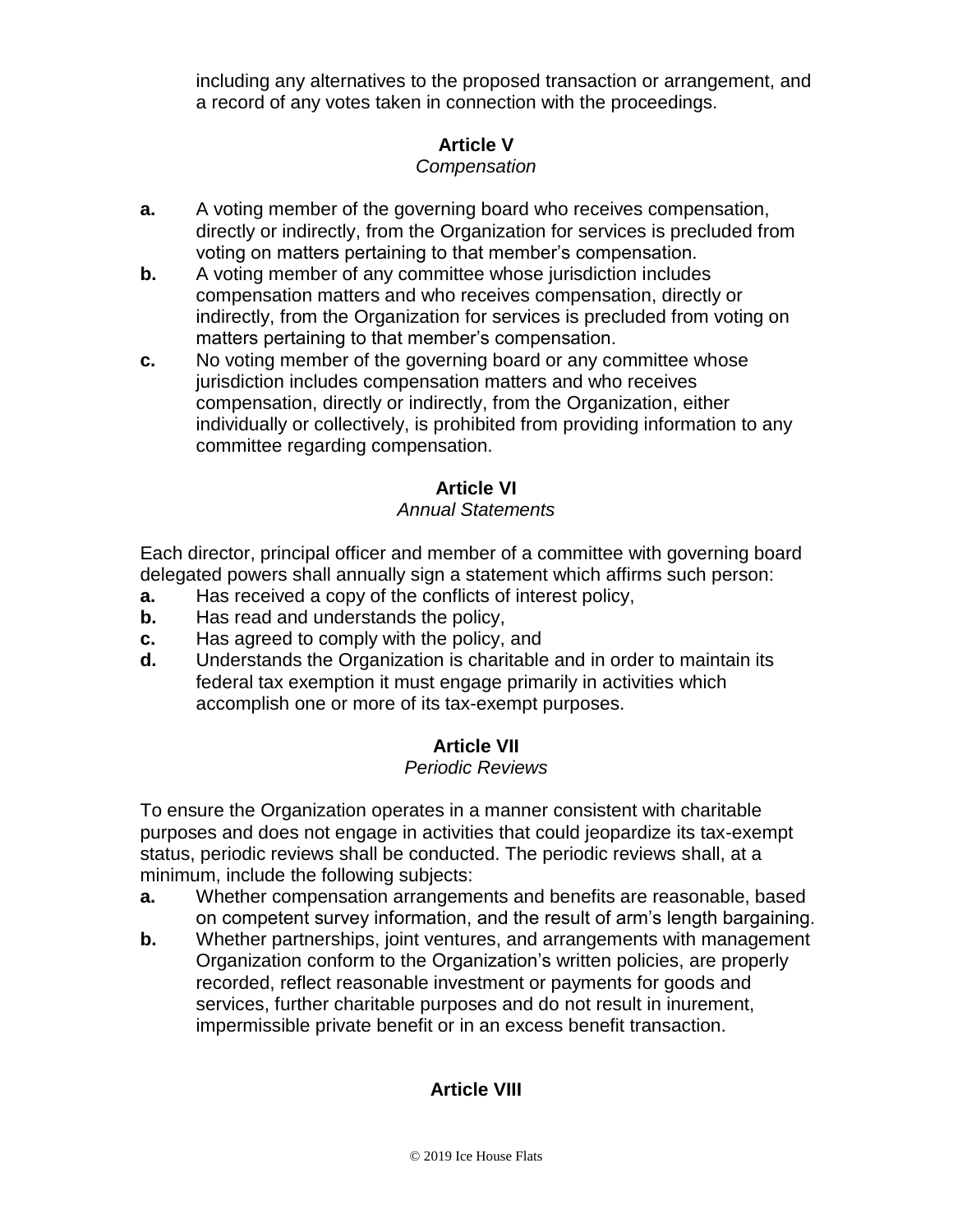including any alternatives to the proposed transaction or arrangement, and a record of any votes taken in connection with the proceedings.

## **Article V**

## *Compensation*

- **a.** A voting member of the governing board who receives compensation, directly or indirectly, from the Organization for services is precluded from voting on matters pertaining to that member's compensation.
- **b.** A voting member of any committee whose jurisdiction includes compensation matters and who receives compensation, directly or indirectly, from the Organization for services is precluded from voting on matters pertaining to that member's compensation.
- **c.** No voting member of the governing board or any committee whose jurisdiction includes compensation matters and who receives compensation, directly or indirectly, from the Organization, either individually or collectively, is prohibited from providing information to any committee regarding compensation.

## **Article VI**

### *Annual Statements*

Each director, principal officer and member of a committee with governing board delegated powers shall annually sign a statement which affirms such person:

- **a.** Has received a copy of the conflicts of interest policy,
- **b.** Has read and understands the policy,
- **c.** Has agreed to comply with the policy, and
- **d.** Understands the Organization is charitable and in order to maintain its federal tax exemption it must engage primarily in activities which accomplish one or more of its tax-exempt purposes.

## **Article VII**

#### *Periodic Reviews*

To ensure the Organization operates in a manner consistent with charitable purposes and does not engage in activities that could jeopardize its tax-exempt status, periodic reviews shall be conducted. The periodic reviews shall, at a minimum, include the following subjects:

- **a.** Whether compensation arrangements and benefits are reasonable, based on competent survey information, and the result of arm's length bargaining.
- **b.** Whether partnerships, joint ventures, and arrangements with management Organization conform to the Organization's written policies, are properly recorded, reflect reasonable investment or payments for goods and services, further charitable purposes and do not result in inurement, impermissible private benefit or in an excess benefit transaction.

## **Article VIII**